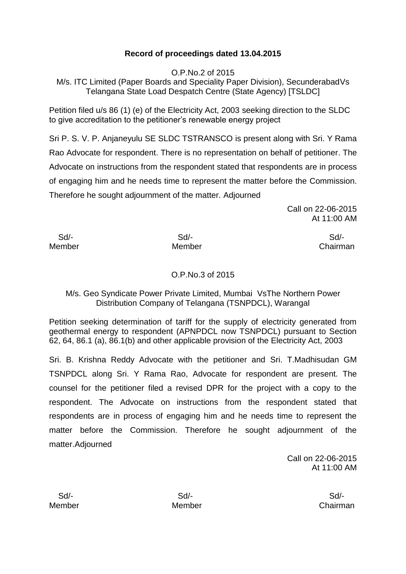# **Record of proceedings dated 13.04.2015**

O.P.No.2 of 2015

M/s. ITC Limited (Paper Boards and Speciality Paper Division), SecunderabadVs Telangana State Load Despatch Centre (State Agency) [TSLDC]

Petition filed u/s 86 (1) (e) of the Electricity Act, 2003 seeking direction to the SLDC to give accreditation to the petitioner's renewable energy project

Sri P. S. V. P. Anjaneyulu SE SLDC TSTRANSCO is present along with Sri. Y Rama Rao Advocate for respondent. There is no representation on behalf of petitioner. The Advocate on instructions from the respondent stated that respondents are in process of engaging him and he needs time to represent the matter before the Commission. Therefore he sought adjournment of the matter. Adjourned

> Call on 22-06-2015 At 11:00 AM

Sd/- Sd/- Sd/-

Member Member Chairman

# O.P.No.3 of 2015

# M/s. Geo Syndicate Power Private Limited, Mumbai VsThe Northern Power Distribution Company of Telangana (TSNPDCL), Warangal

Petition seeking determination of tariff for the supply of electricity generated from geothermal energy to respondent (APNPDCL now TSNPDCL) pursuant to Section 62, 64, 86.1 (a), 86.1(b) and other applicable provision of the Electricity Act, 2003

Sri. B. Krishna Reddy Advocate with the petitioner and Sri. T.Madhisudan GM TSNPDCL along Sri. Y Rama Rao, Advocate for respondent are present. The counsel for the petitioner filed a revised DPR for the project with a copy to the respondent. The Advocate on instructions from the respondent stated that respondents are in process of engaging him and he needs time to represent the matter before the Commission. Therefore he sought adjournment of the matter.Adjourned

> Call on 22-06-2015 At 11:00 AM

 Sd/- Sd/- Sd/- Member Member Chairman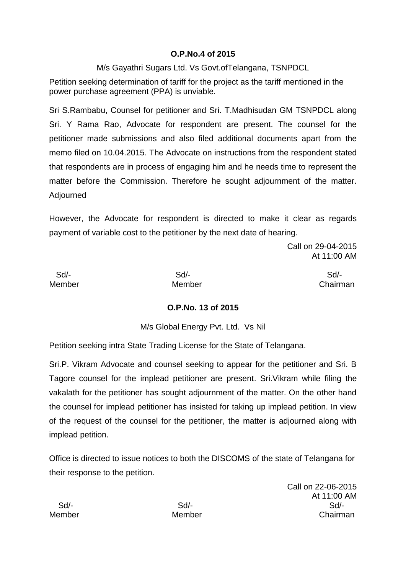## **O.P.No.4 of 2015**

M/s Gayathri Sugars Ltd. Vs Govt.ofTelangana, TSNPDCL

Petition seeking determination of tariff for the project as the tariff mentioned in the power purchase agreement (PPA) is unviable.

Sri S.Rambabu, Counsel for petitioner and Sri. T.Madhisudan GM TSNPDCL along Sri. Y Rama Rao, Advocate for respondent are present. The counsel for the petitioner made submissions and also filed additional documents apart from the memo filed on 10.04.2015. The Advocate on instructions from the respondent stated that respondents are in process of engaging him and he needs time to represent the matter before the Commission. Therefore he sought adjournment of the matter. Adjourned

However, the Advocate for respondent is directed to make it clear as regards payment of variable cost to the petitioner by the next date of hearing.

> Call on 29-04-2015 At 11:00 AM

Sd/- Sd/- Sd/-

Member Member Chairman

# **O.P.No. 13 of 2015**

M/s Global Energy Pvt. Ltd. Vs Nil

Petition seeking intra State Trading License for the State of Telangana.

Sri.P. Vikram Advocate and counsel seeking to appear for the petitioner and Sri. B Tagore counsel for the implead petitioner are present. Sri.Vikram while filing the vakalath for the petitioner has sought adjournment of the matter. On the other hand the counsel for implead petitioner has insisted for taking up implead petition. In view of the request of the counsel for the petitioner, the matter is adjourned along with implead petition.

Office is directed to issue notices to both the DISCOMS of the state of Telangana for their response to the petition.

Call on 22-06-2015 At 11:00 AM Sd/- Sd/- Sd/- Member Member Chairman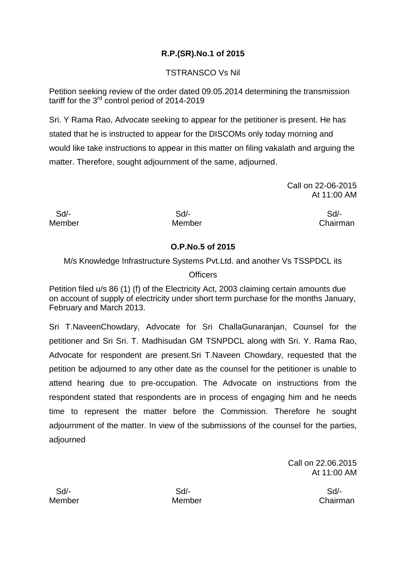# **R.P.(SR).No.1 of 2015**

# TSTRANSCO Vs Nil

Petition seeking review of the order dated 09.05.2014 determining the transmission tariff for the  $3<sup>rd</sup>$  control period of 2014-2019

Sri. Y Rama Rao, Advocate seeking to appear for the petitioner is present. He has stated that he is instructed to appear for the DISCOMs only today morning and would like take instructions to appear in this matter on filing vakalath and arguing the matter. Therefore, sought adjournment of the same, adjourned.

> Call on 22-06-2015 At 11:00 AM

Sd/- Sd/- Sd/-

Member Member Chairman

# **O.P.No.5 of 2015**

M/s Knowledge Infrastructure Systems Pvt.Ltd. and another Vs TSSPDCL its

# **Officers**

Petition filed u/s 86 (1) (f) of the Electricity Act, 2003 claiming certain amounts due on account of supply of electricity under short term purchase for the months January, February and March 2013.

Sri T.NaveenChowdary, Advocate for Sri ChallaGunaranjan, Counsel for the petitioner and Sri Sri. T. Madhisudan GM TSNPDCL along with Sri. Y. Rama Rao, Advocate for respondent are present.Sri T.Naveen Chowdary, requested that the petition be adjourned to any other date as the counsel for the petitioner is unable to attend hearing due to pre-occupation. The Advocate on instructions from the respondent stated that respondents are in process of engaging him and he needs time to represent the matter before the Commission. Therefore he sought adjournment of the matter. In view of the submissions of the counsel for the parties, adjourned

> Call on 22.06.2015 At 11:00 AM

Sd/- Sd/- Sd/-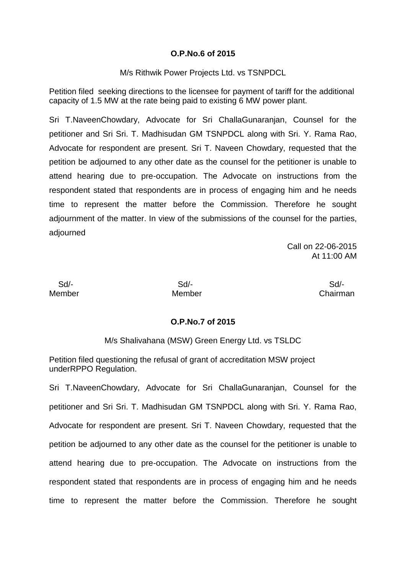#### **O.P.No.6 of 2015**

M/s Rithwik Power Projects Ltd. vs TSNPDCL

Petition filed seeking directions to the licensee for payment of tariff for the additional capacity of 1.5 MW at the rate being paid to existing 6 MW power plant.

Sri T.NaveenChowdary, Advocate for Sri ChallaGunaranjan, Counsel for the petitioner and Sri Sri. T. Madhisudan GM TSNPDCL along with Sri. Y. Rama Rao, Advocate for respondent are present. Sri T. Naveen Chowdary, requested that the petition be adjourned to any other date as the counsel for the petitioner is unable to attend hearing due to pre-occupation. The Advocate on instructions from the respondent stated that respondents are in process of engaging him and he needs time to represent the matter before the Commission. Therefore he sought adjournment of the matter. In view of the submissions of the counsel for the parties, adjourned

> Call on 22-06-2015 At 11:00 AM

 Sd/- Sd/- Sd/- Member Member Chairman

#### **O.P.No.7 of 2015**

M/s Shalivahana (MSW) Green Energy Ltd. vs TSLDC

Petition filed questioning the refusal of grant of accreditation MSW project underRPPO Regulation.

Sri T.NaveenChowdary, Advocate for Sri ChallaGunaranjan, Counsel for the petitioner and Sri Sri. T. Madhisudan GM TSNPDCL along with Sri. Y. Rama Rao, Advocate for respondent are present. Sri T. Naveen Chowdary, requested that the petition be adjourned to any other date as the counsel for the petitioner is unable to attend hearing due to pre-occupation. The Advocate on instructions from the respondent stated that respondents are in process of engaging him and he needs time to represent the matter before the Commission. Therefore he sought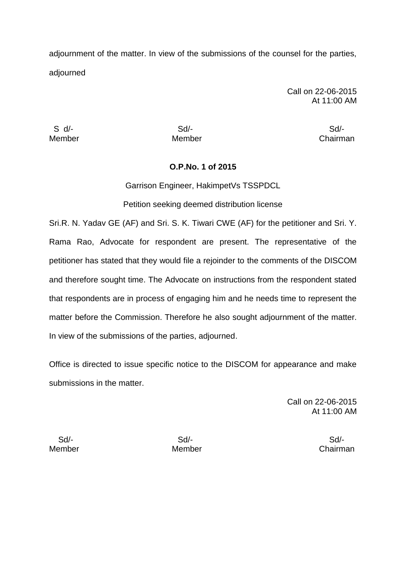adjournment of the matter. In view of the submissions of the counsel for the parties, adjourned

> Call on 22-06-2015 At 11:00 AM

S d/- Sd/- Sd/-

Member Member Chairman

#### **O.P.No. 1 of 2015**

Garrison Engineer, HakimpetVs TSSPDCL

Petition seeking deemed distribution license

Sri.R. N. Yadav GE (AF) and Sri. S. K. Tiwari CWE (AF) for the petitioner and Sri. Y. Rama Rao, Advocate for respondent are present. The representative of the petitioner has stated that they would file a rejoinder to the comments of the DISCOM and therefore sought time. The Advocate on instructions from the respondent stated that respondents are in process of engaging him and he needs time to represent the matter before the Commission. Therefore he also sought adjournment of the matter. In view of the submissions of the parties, adjourned.

Office is directed to issue specific notice to the DISCOM for appearance and make submissions in the matter.

> Call on 22-06-2015 At 11:00 AM

Sd/- Sd/- Sd/-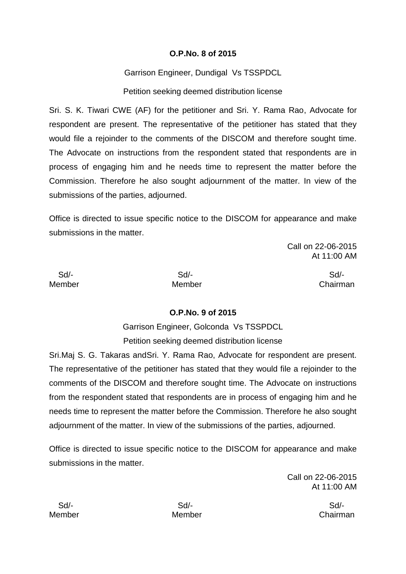## **O.P.No. 8 of 2015**

Garrison Engineer, Dundigal Vs TSSPDCL

Petition seeking deemed distribution license

Sri. S. K. Tiwari CWE (AF) for the petitioner and Sri. Y. Rama Rao, Advocate for respondent are present. The representative of the petitioner has stated that they would file a rejoinder to the comments of the DISCOM and therefore sought time. The Advocate on instructions from the respondent stated that respondents are in process of engaging him and he needs time to represent the matter before the Commission. Therefore he also sought adjournment of the matter. In view of the submissions of the parties, adjourned.

Office is directed to issue specific notice to the DISCOM for appearance and make submissions in the matter.

> Call on 22-06-2015 At 11:00 AM

Sd/- Sd/- Sd/-

Member Member Chairman

# **O.P.No. 9 of 2015**

Garrison Engineer, Golconda Vs TSSPDCL Petition seeking deemed distribution license

Sri.Maj S. G. Takaras andSri. Y. Rama Rao, Advocate for respondent are present. The representative of the petitioner has stated that they would file a rejoinder to the comments of the DISCOM and therefore sought time. The Advocate on instructions from the respondent stated that respondents are in process of engaging him and he needs time to represent the matter before the Commission. Therefore he also sought adjournment of the matter. In view of the submissions of the parties, adjourned.

Office is directed to issue specific notice to the DISCOM for appearance and make submissions in the matter.

> Call on 22-06-2015 At 11:00 AM

Member Member Chairman

Sd/- Sd/- Sd/-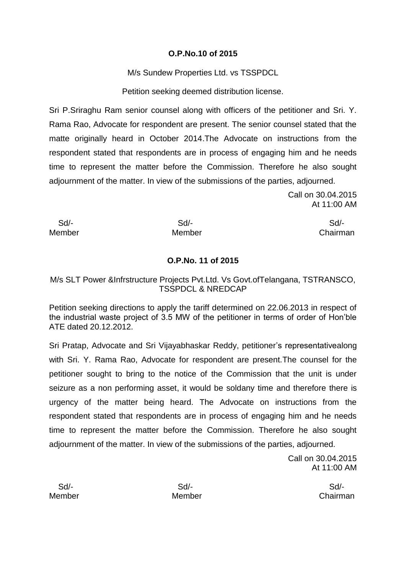## **O.P.No.10 of 2015**

M/s Sundew Properties Ltd. vs TSSPDCL

Petition seeking deemed distribution license.

Sri P.Sriraghu Ram senior counsel along with officers of the petitioner and Sri. Y. Rama Rao, Advocate for respondent are present. The senior counsel stated that the matte originally heard in October 2014.The Advocate on instructions from the respondent stated that respondents are in process of engaging him and he needs time to represent the matter before the Commission. Therefore he also sought adjournment of the matter. In view of the submissions of the parties, adjourned.

> Call on 30.04.2015 At 11:00 AM

Sd/- Sd/- Sd/-

Member Member **Member** Chairman

# **O.P.No. 11 of 2015**

## M/s SLT Power &Infrstructure Projects Pvt.Ltd. Vs Govt.ofTelangana, TSTRANSCO, TSSPDCL & NREDCAP

Petition seeking directions to apply the tariff determined on 22.06.2013 in respect of the industrial waste project of 3.5 MW of the petitioner in terms of order of Hon'ble ATE dated 20.12.2012.

Sri Pratap, Advocate and Sri Vijayabhaskar Reddy, petitioner's representativealong with Sri. Y. Rama Rao, Advocate for respondent are present.The counsel for the petitioner sought to bring to the notice of the Commission that the unit is under seizure as a non performing asset, it would be soldany time and therefore there is urgency of the matter being heard. The Advocate on instructions from the respondent stated that respondents are in process of engaging him and he needs time to represent the matter before the Commission. Therefore he also sought adjournment of the matter. In view of the submissions of the parties, adjourned.

> Call on 30.04.2015 At 11:00 AM

Sd/- Sd/- Sd/-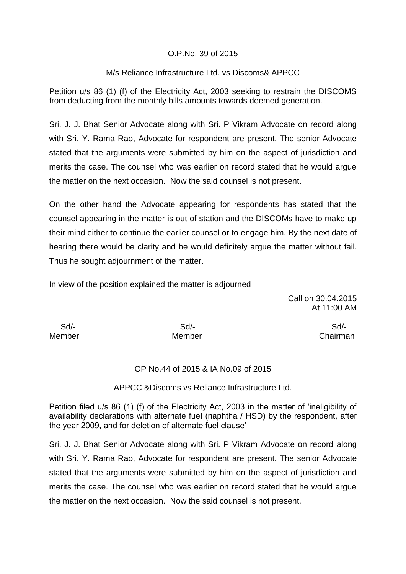## O.P.No. 39 of 2015

## M/s Reliance Infrastructure Ltd. vs Discoms& APPCC

Petition u/s 86 (1) (f) of the Electricity Act, 2003 seeking to restrain the DISCOMS from deducting from the monthly bills amounts towards deemed generation.

Sri. J. J. Bhat Senior Advocate along with Sri. P Vikram Advocate on record along with Sri. Y. Rama Rao, Advocate for respondent are present. The senior Advocate stated that the arguments were submitted by him on the aspect of jurisdiction and merits the case. The counsel who was earlier on record stated that he would argue the matter on the next occasion. Now the said counsel is not present.

On the other hand the Advocate appearing for respondents has stated that the counsel appearing in the matter is out of station and the DISCOMs have to make up their mind either to continue the earlier counsel or to engage him. By the next date of hearing there would be clarity and he would definitely argue the matter without fail. Thus he sought adjournment of the matter.

In view of the position explained the matter is adjourned

Call on 30.04.2015 At 11:00 AM

Sd/- Sd/- Sd/-

Member Member Chairman

#### OP No.44 of 2015 & IA No.09 of 2015

APPCC &Discoms vs Reliance Infrastructure Ltd.

Petition filed u/s 86 (1) (f) of the Electricity Act, 2003 in the matter of 'ineligibility of availability declarations with alternate fuel (naphtha / HSD) by the respondent, after the year 2009, and for deletion of alternate fuel clause'

Sri. J. J. Bhat Senior Advocate along with Sri. P Vikram Advocate on record along with Sri. Y. Rama Rao, Advocate for respondent are present. The senior Advocate stated that the arguments were submitted by him on the aspect of jurisdiction and merits the case. The counsel who was earlier on record stated that he would argue the matter on the next occasion. Now the said counsel is not present.